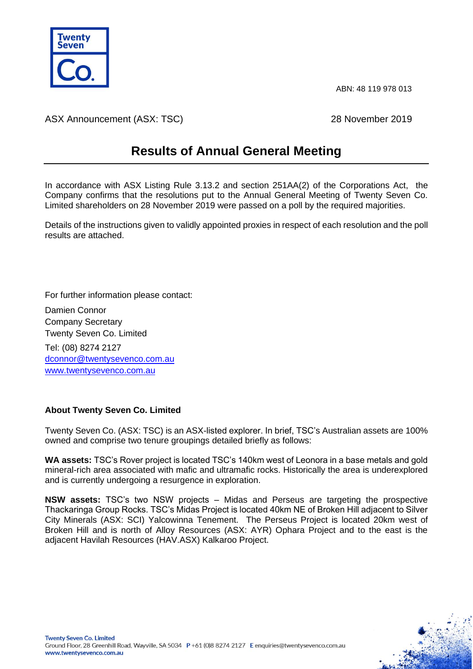

ABN: 48 119 978 013

ASX Announcement (ASX: TSC) 28 November 2019

## **Results of Annual General Meeting**

In accordance with ASX Listing Rule 3.13.2 and section 251AA(2) of the Corporations Act, the Company confirms that the resolutions put to the Annual General Meeting of Twenty Seven Co. Limited shareholders on 28 November 2019 were passed on a poll by the required majorities.

Details of the instructions given to validly appointed proxies in respect of each resolution and the poll results are attached.

For further information please contact:

Damien Connor Company Secretary Twenty Seven Co. Limited Tel: (08) 8274 2127 [dconnor@twentysevenco.com.au](mailto:dconnor@twentysevenco.com.au) [www.twentysevenco.com.au](http://www.twentysevenco.com.au/)

## **About Twenty Seven Co. Limited**

Twenty Seven Co. (ASX: TSC) is an ASX-listed explorer. In brief, TSC's Australian assets are 100% owned and comprise two tenure groupings detailed briefly as follows:

**WA assets:** TSC's Rover project is located TSC's 140km west of Leonora in a base metals and gold mineral-rich area associated with mafic and ultramafic rocks. Historically the area is underexplored and is currently undergoing a resurgence in exploration.

**NSW assets:** TSC's two NSW projects – Midas and Perseus are targeting the prospective Thackaringa Group Rocks. TSC's Midas Project is located 40km NE of Broken Hill adjacent to Silver City Minerals (ASX: SCI) Yalcowinna Tenement. The Perseus Project is located 20km west of Broken Hill and is north of Alloy Resources (ASX: AYR) Ophara Project and to the east is the adjacent Havilah Resources (HAV.ASX) Kalkaroo Project.